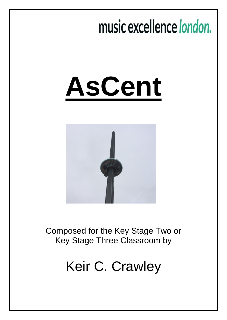# music excellence london.





Composed for the Key Stage Two or Key Stage Three Classroom by

## Keir C. Crawley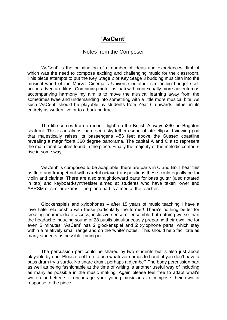#### **'AsCent'**

#### Notes from the Composer

'AsCent' is the culmination of a number of ideas and experiences, first of which was the need to compose exciting and challenging music for the classroom. This piece attempts to put the Key Stage 2 or Key Stage 3 budding musician into the musical world of the Marvel Cinematic Universe or other similar big budget sci-fi action adventure films. Combining motor ostinati with contextually more adventurous accompanying harmony my aim is to move the musical learning away from the sometimes twee and undemanding into something with a little more musical bite. As such 'AsCent' should be playable by students from Year 6 upwards, either in its entirety as written live or to a backing track.

The title comes from a recent 'flight' on the British Airways i360 on Brighton seafront. This is an almost hard sci-fi sky-tether-esque oblate ellipsoid viewing pod that majestically raises its passenger's 453 feet above the Sussex coastline revealing a magnificent 360 degree panorama. The capital A and C also represent the main tonal centres found in the piece. Finally the majority of the melodic contours rise in some way.

'AsCent' is composed to be adaptable; there are parts in C and B*b*. I hear this as flute and trumpet but with careful octave transpositions these could equally be for violin and clarinet. There are also straightforward parts for bass guitar (also notated in tab) and keyboard/synthesiser aimed at students who have taken lower end ABRSM or similar exams. The piano part is aimed at the teacher.

Glockenspiels and xylophones – after 15 years of music teaching I have a love hate relationship with these particularly the former! There's nothing better for creating an immediate access, inclusive sense of ensemble but nothing worse than the headache inducing sound of 28 pupils simultaneously preparing their own line for even 5 minutes. 'AsCent' has 2 glockenspiel and 2 xylophone parts, which stay within a relatively small range and on the 'white' notes. This should help facilitate as many students as possible joining in.

The percussion part could be shared by two students but is also just about playable by one. Please feel free to use whatever comes to hand, if you don't have a bass drum try a surdo. No snare drum, perhaps a djembe? The body percussion part as well as being fashionable at the time of writing is another useful way of including as many as possible in the music making. Again please feel free to adapt what's written or better still encourage your young musicians to compose their own in response to the piece.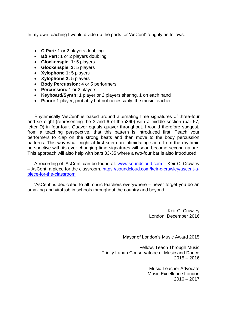In my own teaching I would divide up the parts for 'AsCent' roughly as follows:

- **C Part:** 1 or 2 players doubling
- **B***b* **Part:** 1 or 2 players doubling
- **Glockenspiel 1:** 5 players
- **Glockenspiel 2:** 5 players
- **Xylophone 1:** 5 players
- **Xylophone 2:** 5 players
- **Body Percussion:** 4 or 5 performers
- **Percussion:** 1 or 2 players
- **Keyboard/Synth:** 1 player or 2 players sharing, 1 on each hand
- **Piano:** 1 player, probably but not necessarily, the music teacher

Rhythmically 'AsCent' is based around alternating time signatures of three-four and six-eight (representing the 3 and 6 of the i360) with a middle section (bar 57, letter D) in four-four. Quaver equals quaver throughout. I would therefore suggest, from a teaching perspective, that this pattern is introduced first. Teach your performers to clap on the strong beats and then move to the body percussion patterns. This way what might at first seem an intimidating score from the rhythmic perspective with its ever changing time signatures will soon become second nature. This approach will also help with bars 33-35 where a two-four bar is also introduced.

A recording of 'AsCent' can be found at: [www.soundcloud.com](http://www.soundcloud.com/) – Keir C. Crawley – AsCent, a piece for the classroom. [https://soundcloud.com/keir-c-crawley/ascent-a](https://soundcloud.com/keir-c-crawley/ascent-a-piece-for-the-classroom)[piece-for-the-classroom](https://soundcloud.com/keir-c-crawley/ascent-a-piece-for-the-classroom)

'AsCent' is dedicated to all music teachers everywhere – never forget you do an amazing and vital job in schools throughout the country and beyond.

> Keir C. Crawley London, December 2016

Mayor of London's Music Award 2015

Fellow, Teach Through Music Trinity Laban Conservatoire of Music and Dance  $2015 - 2016$ 

> Music Teacher Advocate Music Excellence London  $2016 - 2017$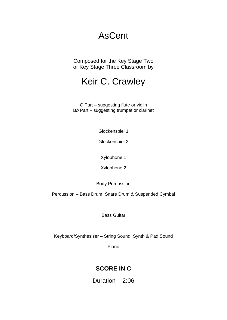### AsCent

Composed for the Key Stage Two or Key Stage Three Classroom by

## Keir C. Crawley

C Part – suggesting flute or violin B*b* Part – suggesting trumpet or clarinet

Glockenspiel 1

Glockenspiel 2

Xylophone 1

Xylophone 2

Body Percussion

Percussion – Bass Drum, Snare Drum & Suspended Cymbal

Bass Guitar

Keyboard/Synthesiser – String Sound, Synth & Pad Sound

Piano

### **SCORE IN C**

Duration – 2:06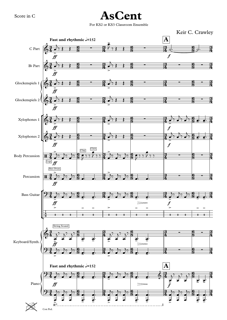## **AsCent**<br>For KS2 or KS3 Classroom Ensemble

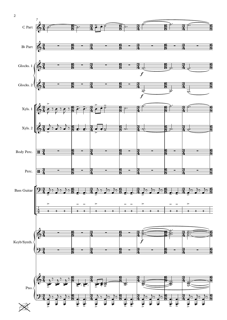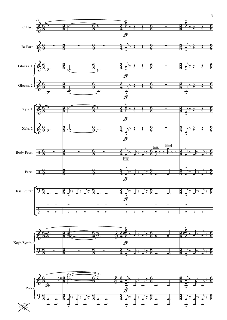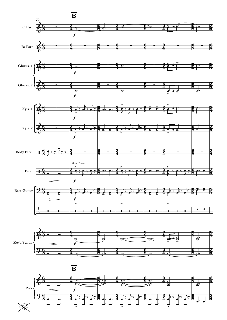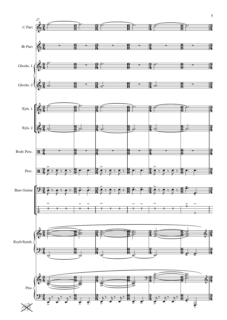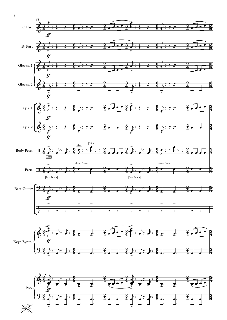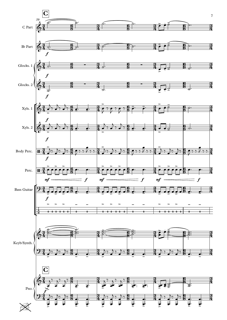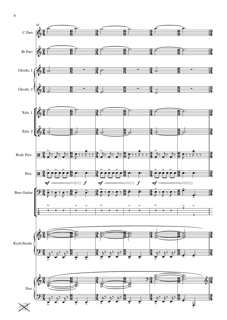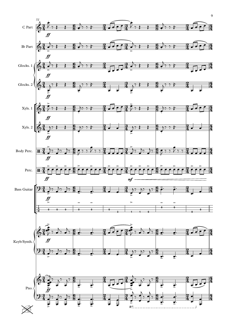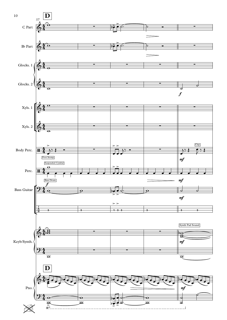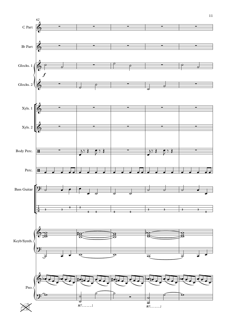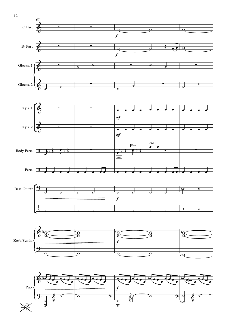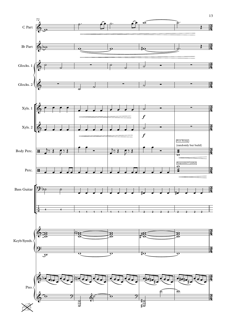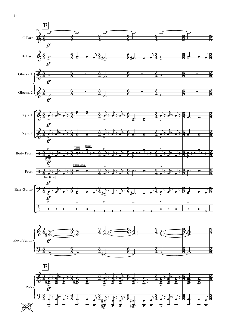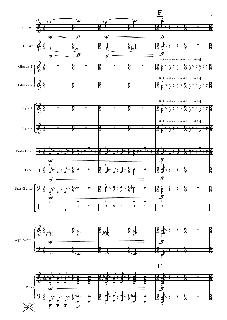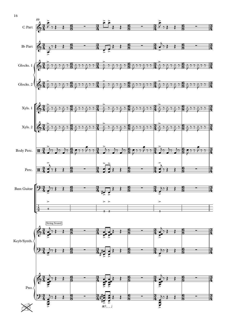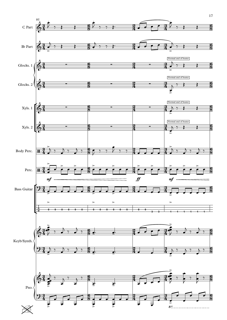